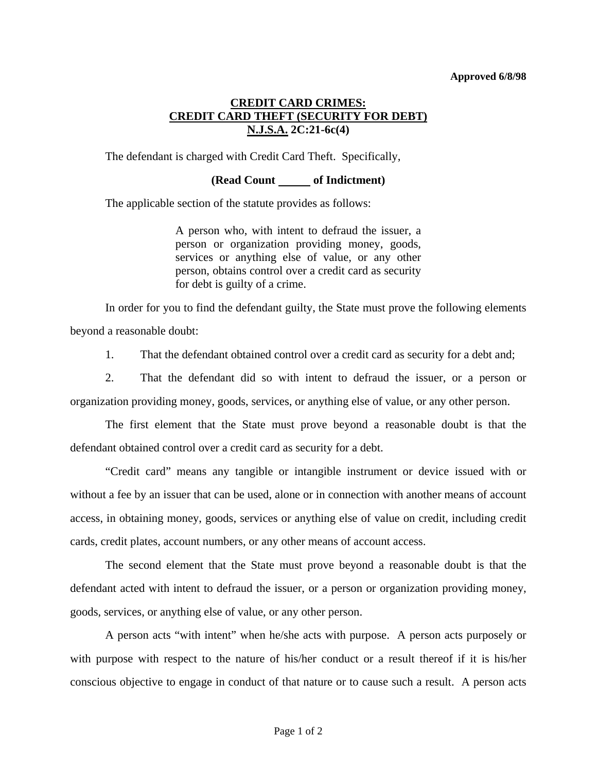## **Approved 6/8/98**

## **CREDIT CARD CRIMES: CREDIT CARD THEFT (SECURITY FOR DEBT) N.J.S.A. 2C:21-6c(4)**

The defendant is charged with Credit Card Theft. Specifically,

## **(Read Count of Indictment)**

The applicable section of the statute provides as follows:

A person who, with intent to defraud the issuer, a person or organization providing money, goods, services or anything else of value, or any other person, obtains control over a credit card as security for debt is guilty of a crime.

 In order for you to find the defendant guilty, the State must prove the following elements beyond a reasonable doubt:

1. That the defendant obtained control over a credit card as security for a debt and;

 2. That the defendant did so with intent to defraud the issuer, or a person or organization providing money, goods, services, or anything else of value, or any other person.

 The first element that the State must prove beyond a reasonable doubt is that the defendant obtained control over a credit card as security for a debt.

 "Credit card" means any tangible or intangible instrument or device issued with or without a fee by an issuer that can be used, alone or in connection with another means of account access, in obtaining money, goods, services or anything else of value on credit, including credit cards, credit plates, account numbers, or any other means of account access.

 The second element that the State must prove beyond a reasonable doubt is that the defendant acted with intent to defraud the issuer, or a person or organization providing money, goods, services, or anything else of value, or any other person.

 A person acts "with intent" when he/she acts with purpose. A person acts purposely or with purpose with respect to the nature of his/her conduct or a result thereof if it is his/her conscious objective to engage in conduct of that nature or to cause such a result. A person acts